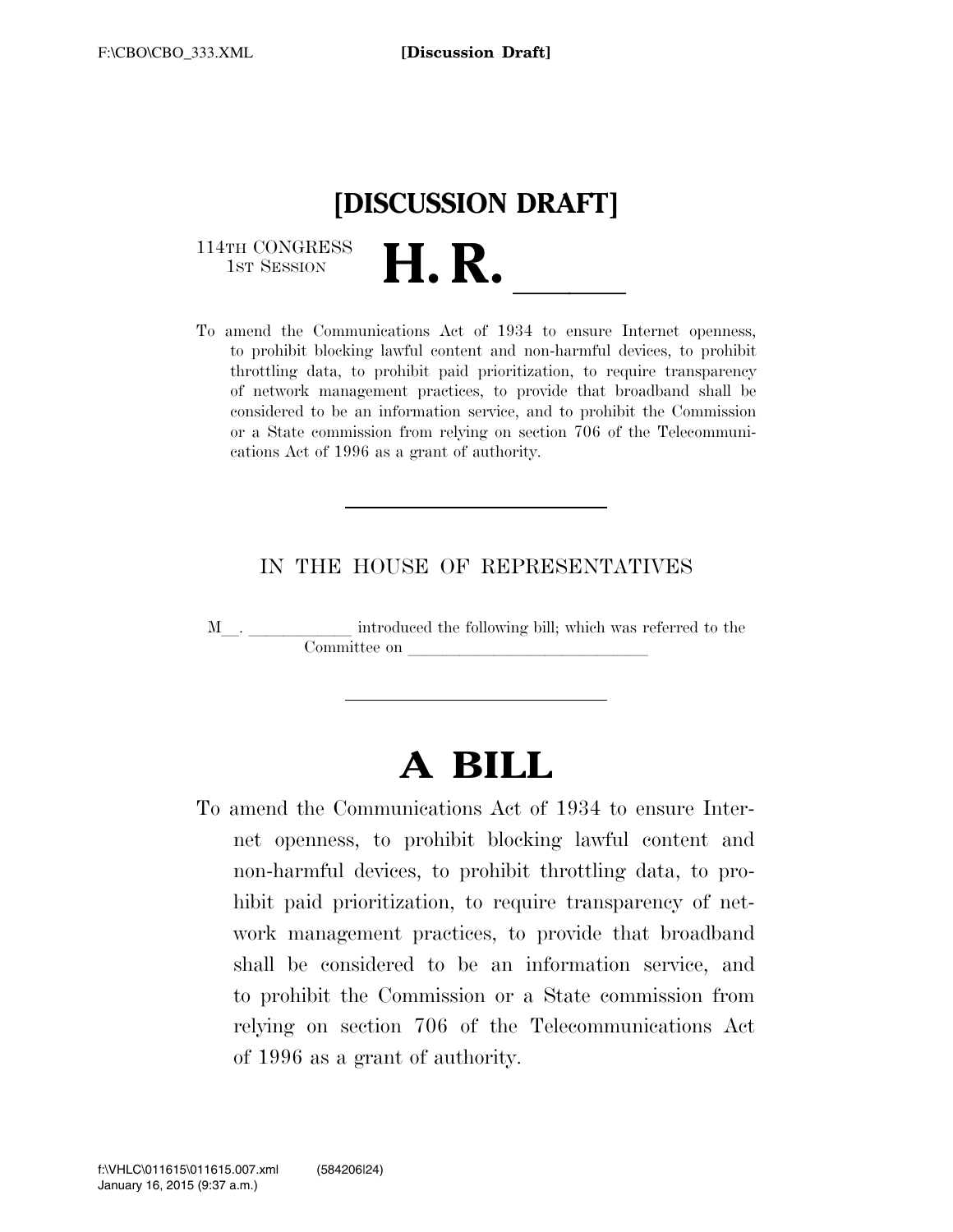

114TH CONGRESS<br>1st Session

114TH CONGRESS<br>1st SESSION **H. R.** <u>Internet openness,</u><br>To amend the Communications Act of 1934 to ensure Internet openness, to prohibit blocking lawful content and non-harmful devices, to prohibit throttling data, to prohibit paid prioritization, to require transparency of network management practices, to provide that broadband shall be considered to be an information service, and to prohibit the Commission or a State commission from relying on section 706 of the Telecommunications Act of 1996 as a grant of authority.

# IN THE HOUSE OF REPRESENTATIVES

<sup>M</sup>l. llllll introduced the following bill; which was referred to the Committee on

# **A BILL**

To amend the Communications Act of 1934 to ensure Internet openness, to prohibit blocking lawful content and non-harmful devices, to prohibit throttling data, to prohibit paid prioritization, to require transparency of network management practices, to provide that broadband shall be considered to be an information service, and to prohibit the Commission or a State commission from relying on section 706 of the Telecommunications Act of 1996 as a grant of authority.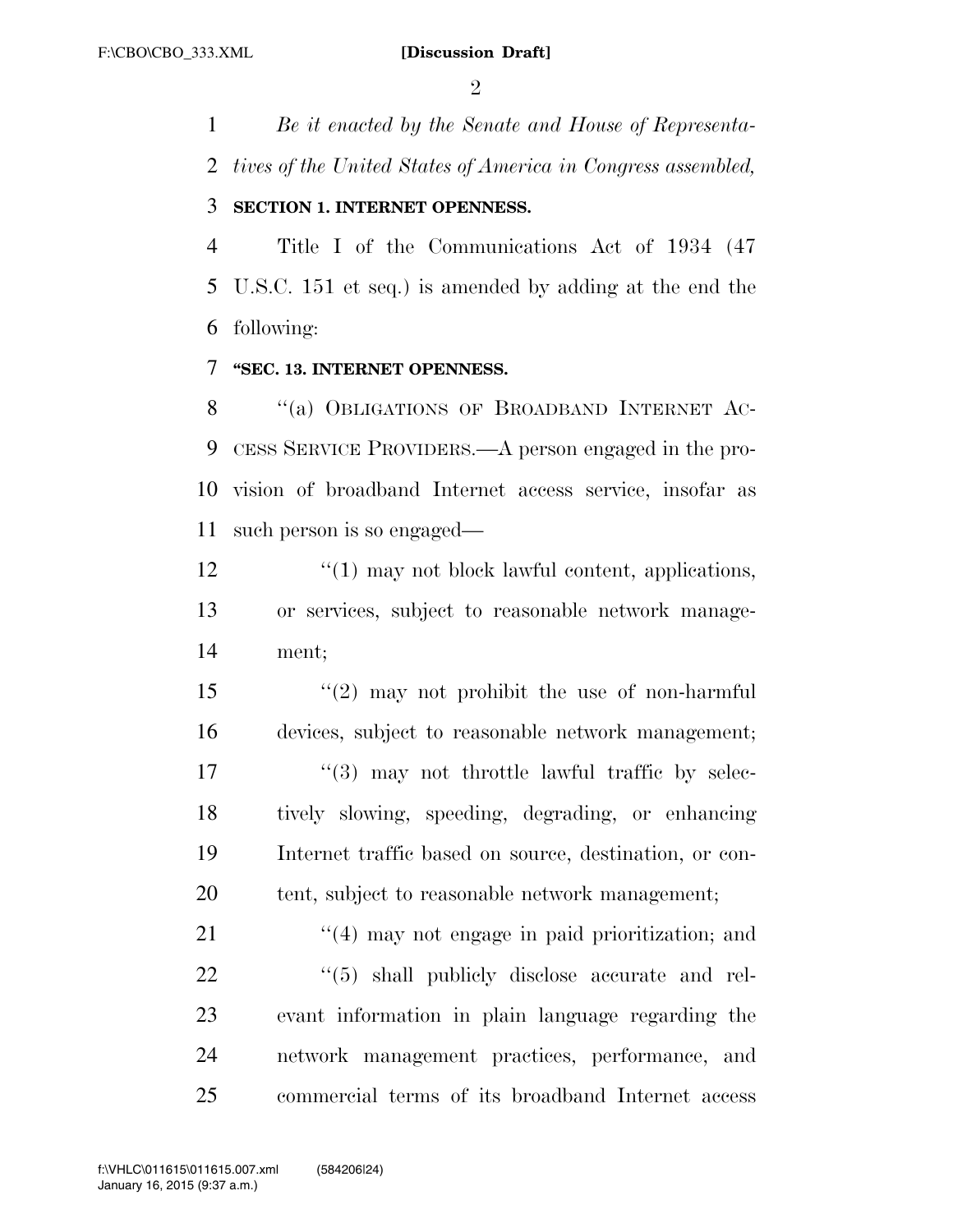$\mathfrak{D}$ 

*Be it enacted by the Senate and House of Representa-*

*tives of the United States of America in Congress assembled,* 

## **SECTION 1. INTERNET OPENNESS.**

 Title I of the Communications Act of 1934 (47 U.S.C. 151 et seq.) is amended by adding at the end the following:

## **''SEC. 13. INTERNET OPENNESS.**

8 "(a) OBLIGATIONS OF BROADBAND INTERNET AC- CESS SERVICE PROVIDERS.—A person engaged in the pro- vision of broadband Internet access service, insofar as such person is so engaged—

12 ''(1) may not block lawful content, applications, or services, subject to reasonable network manage-ment;

 ''(2) may not prohibit the use of non-harmful devices, subject to reasonable network management;  $\frac{17}{2}$   $\frac{17}{2}$  may not throttle lawful traffic by selec- tively slowing, speeding, degrading, or enhancing Internet traffic based on source, destination, or con-20 tent, subject to reasonable network management;

21 ''(4) may not engage in paid prioritization; and  $(5)$  shall publicly disclose accurate and rel- evant information in plain language regarding the network management practices, performance, and commercial terms of its broadband Internet access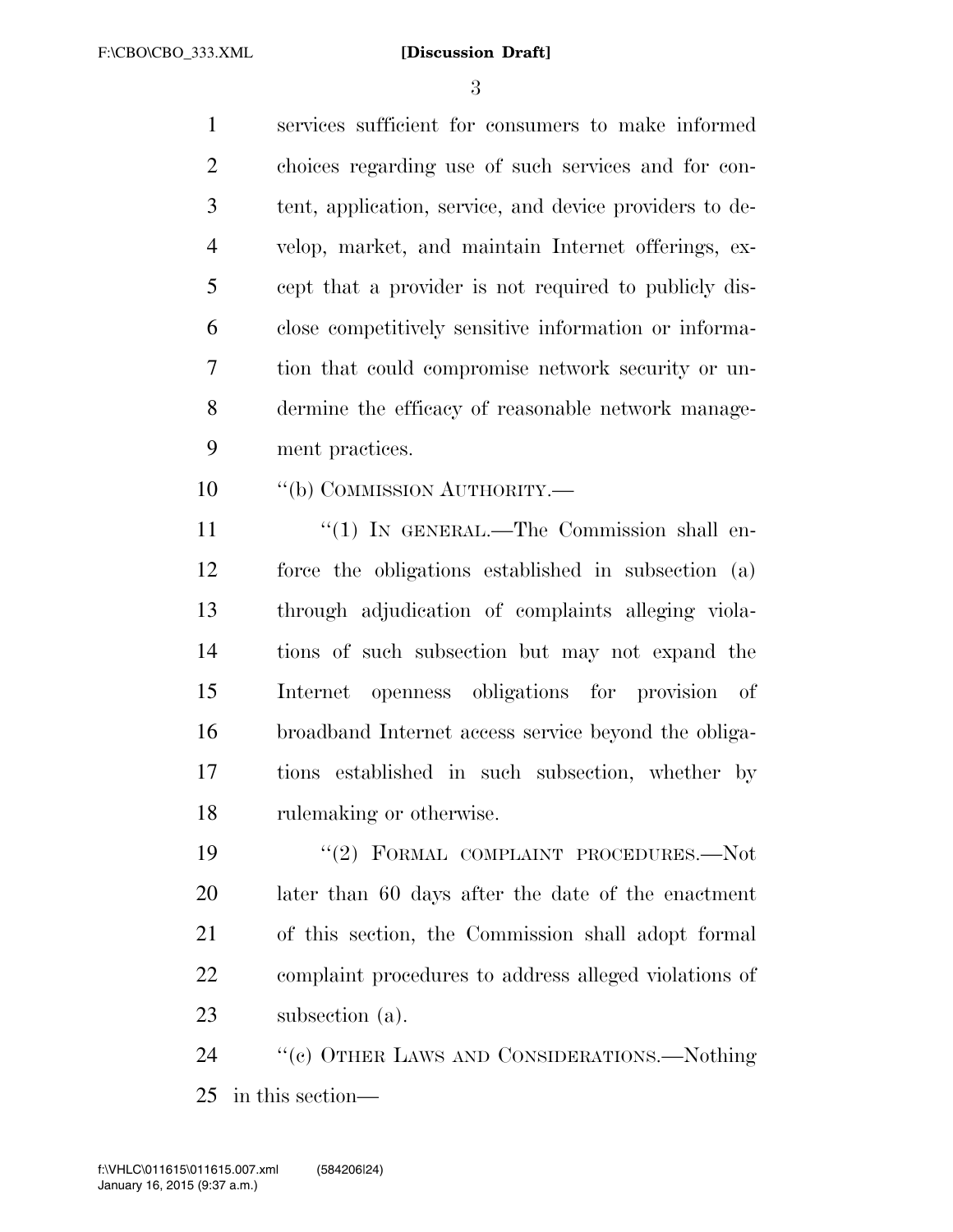F:\CBO\CBO\_333.XML

#### **[Discussion Draft]**

 services sufficient for consumers to make informed choices regarding use of such services and for con- tent, application, service, and device providers to de- velop, market, and maintain Internet offerings, ex- cept that a provider is not required to publicly dis- close competitively sensitive information or informa- tion that could compromise network security or un- dermine the efficacy of reasonable network manage-ment practices.

10  $\qquad$  "(b) COMMISSION AUTHORITY.—

11 "(1) IN GENERAL.—The Commission shall en- force the obligations established in subsection (a) through adjudication of complaints alleging viola- tions of such subsection but may not expand the Internet openness obligations for provision of broadband Internet access service beyond the obliga- tions established in such subsection, whether by rulemaking or otherwise.

19 "(2) FORMAL COMPLAINT PROCEDURES.-Not later than 60 days after the date of the enactment of this section, the Commission shall adopt formal complaint procedures to address alleged violations of subsection (a).

 ''(c) OTHER LAWS AND CONSIDERATIONS.—Nothing in this section—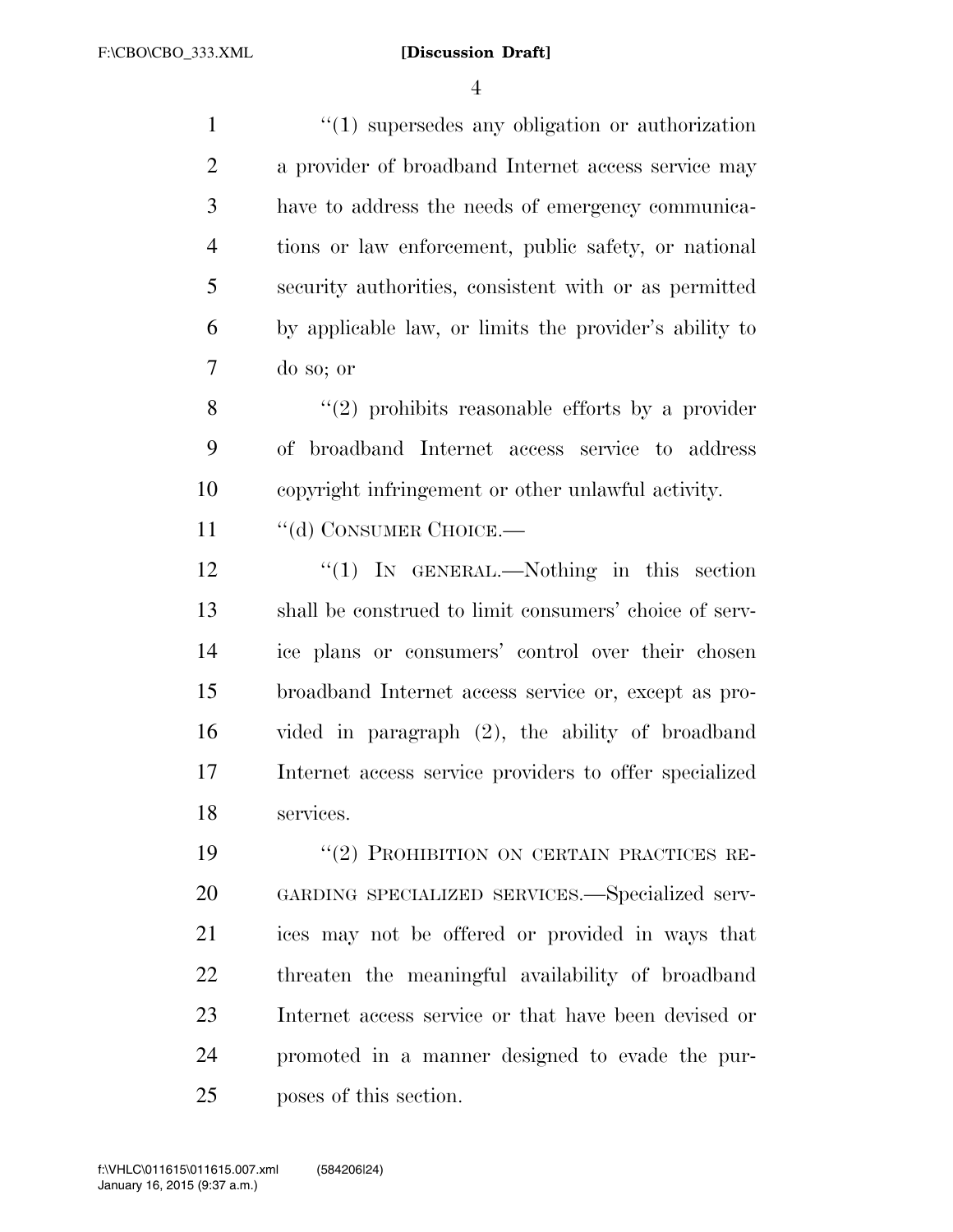#### **[Discussion Draft]**

 $\frac{1}{1}$  :  $\frac{1}{2}$  supersedes any obligation or authorization a provider of broadband Internet access service may have to address the needs of emergency communica- tions or law enforcement, public safety, or national security authorities, consistent with or as permitted by applicable law, or limits the provider's ability to do so; or

8 "(2) prohibits reasonable efforts by a provider of broadband Internet access service to address copyright infringement or other unlawful activity.

11 "(d) CONSUMER CHOICE.—

12 "(1) IN GENERAL.—Nothing in this section shall be construed to limit consumers' choice of serv- ice plans or consumers' control over their chosen broadband Internet access service or, except as pro- vided in paragraph (2), the ability of broadband Internet access service providers to offer specialized services.

19 "(2) PROHIBITION ON CERTAIN PRACTICES RE- GARDING SPECIALIZED SERVICES.—Specialized serv- ices may not be offered or provided in ways that threaten the meaningful availability of broadband Internet access service or that have been devised or promoted in a manner designed to evade the pur-poses of this section.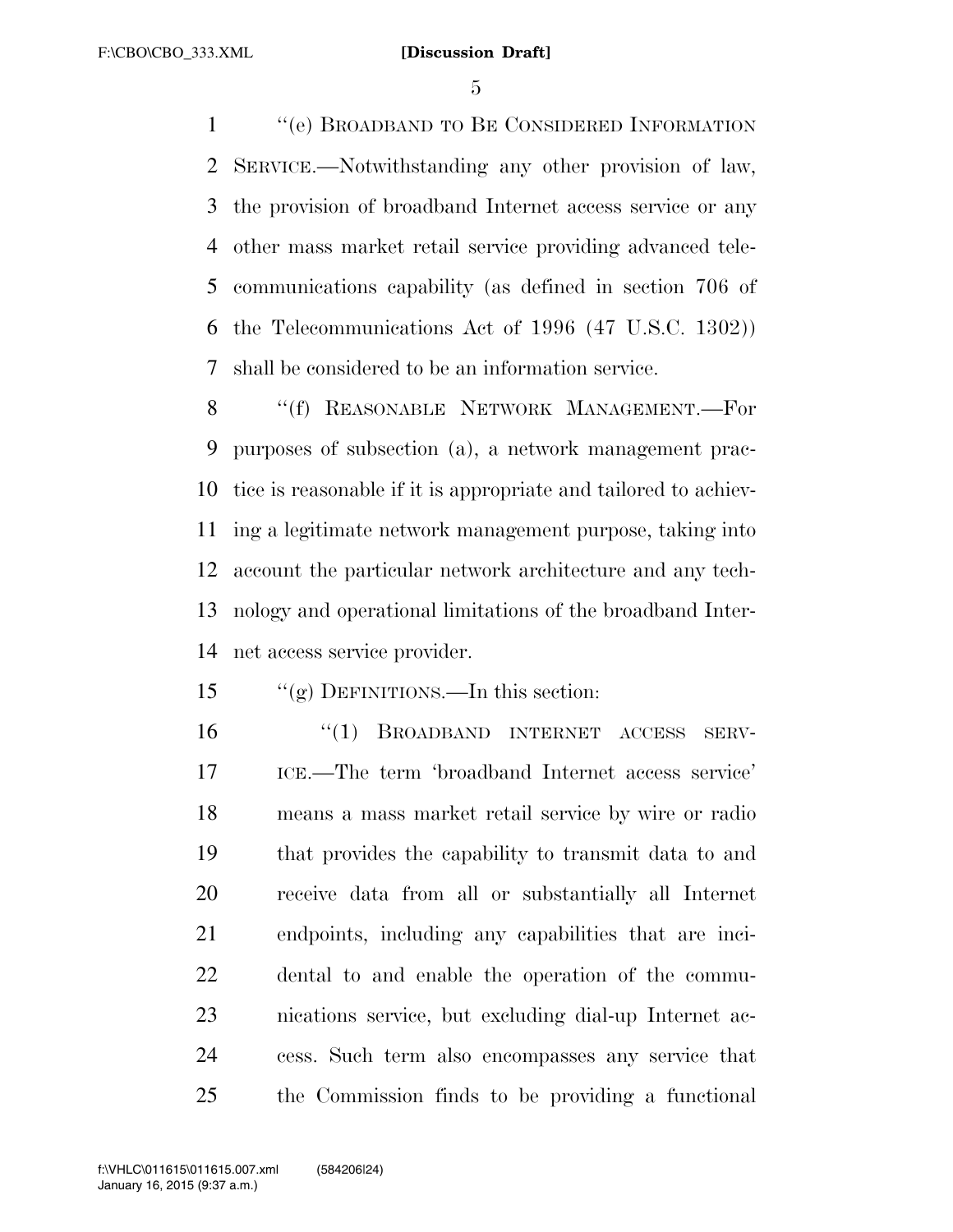''(e) BROADBAND TO BE CONSIDERED INFORMATION SERVICE.—Notwithstanding any other provision of law, the provision of broadband Internet access service or any other mass market retail service providing advanced tele- communications capability (as defined in section 706 of the Telecommunications Act of 1996 (47 U.S.C. 1302)) shall be considered to be an information service.

8 "(f) REASONABLE NETWORK MANAGEMENT.—For purposes of subsection (a), a network management prac- tice is reasonable if it is appropriate and tailored to achiev- ing a legitimate network management purpose, taking into account the particular network architecture and any tech- nology and operational limitations of the broadband Inter-net access service provider.

## ''(g) DEFINITIONS.—In this section:

 ''(1) BROADBAND INTERNET ACCESS SERV- ICE.—The term 'broadband Internet access service' means a mass market retail service by wire or radio that provides the capability to transmit data to and receive data from all or substantially all Internet endpoints, including any capabilities that are inci- dental to and enable the operation of the commu- nications service, but excluding dial-up Internet ac- cess. Such term also encompasses any service that the Commission finds to be providing a functional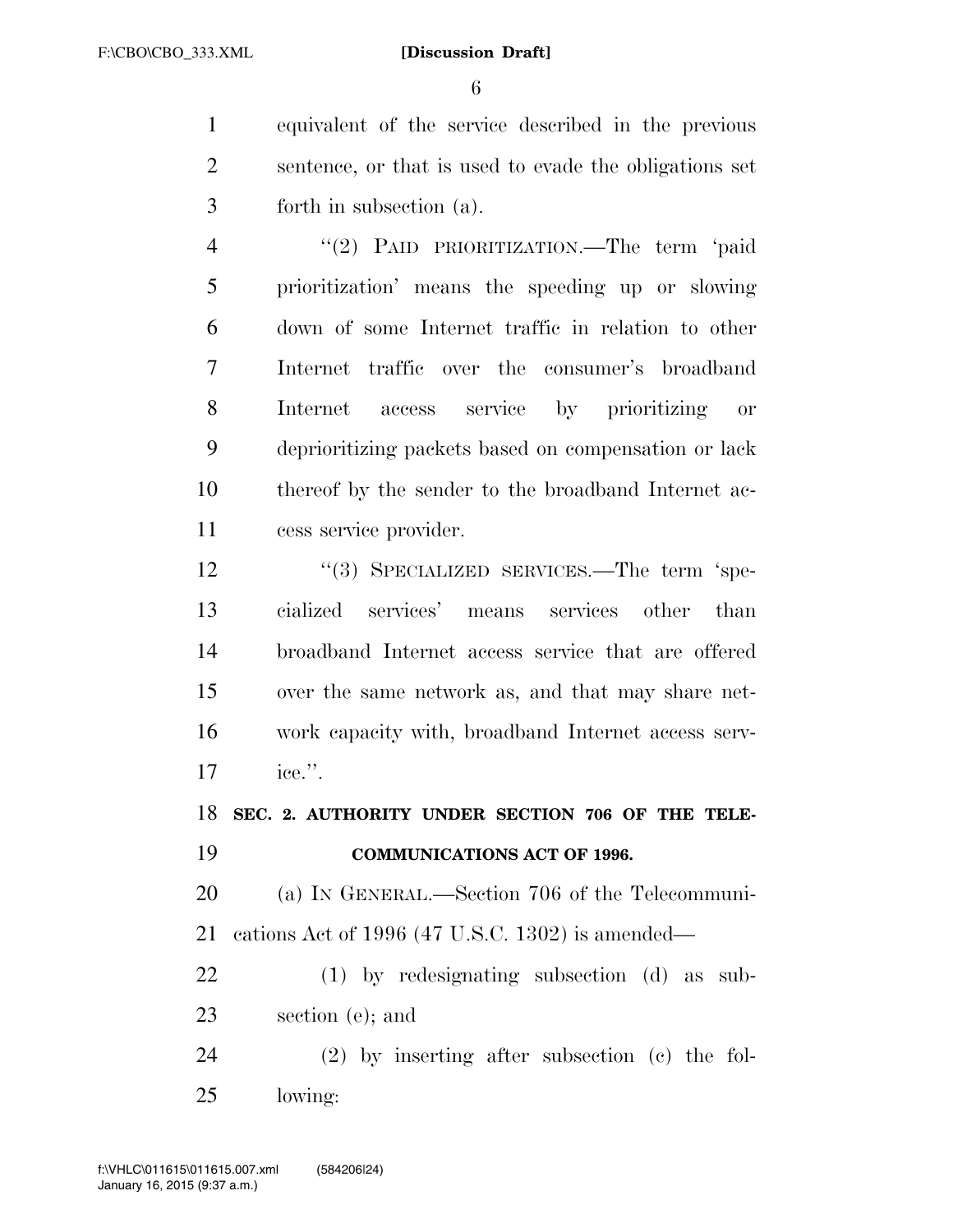#### **[Discussion Draft]**

 equivalent of the service described in the previous sentence, or that is used to evade the obligations set forth in subsection (a).

 ''(2) PAID PRIORITIZATION.—The term 'paid prioritization' means the speeding up or slowing down of some Internet traffic in relation to other Internet traffic over the consumer's broadband Internet access service by prioritizing or deprioritizing packets based on compensation or lack thereof by the sender to the broadband Internet ac-cess service provider.

12 "(3) SPECIALIZED SERVICES.—The term 'spe- cialized services' means services other than broadband Internet access service that are offered over the same network as, and that may share net- work capacity with, broadband Internet access serv-ice.''.

**SEC. 2. AUTHORITY UNDER SECTION 706 OF THE TELE-**

**COMMUNICATIONS ACT OF 1996.** 

 (a) IN GENERAL.—Section 706 of the Telecommuni-cations Act of 1996 (47 U.S.C. 1302) is amended—

 (1) by redesignating subsection (d) as sub-section (e); and

 (2) by inserting after subsection (c) the fol-lowing: